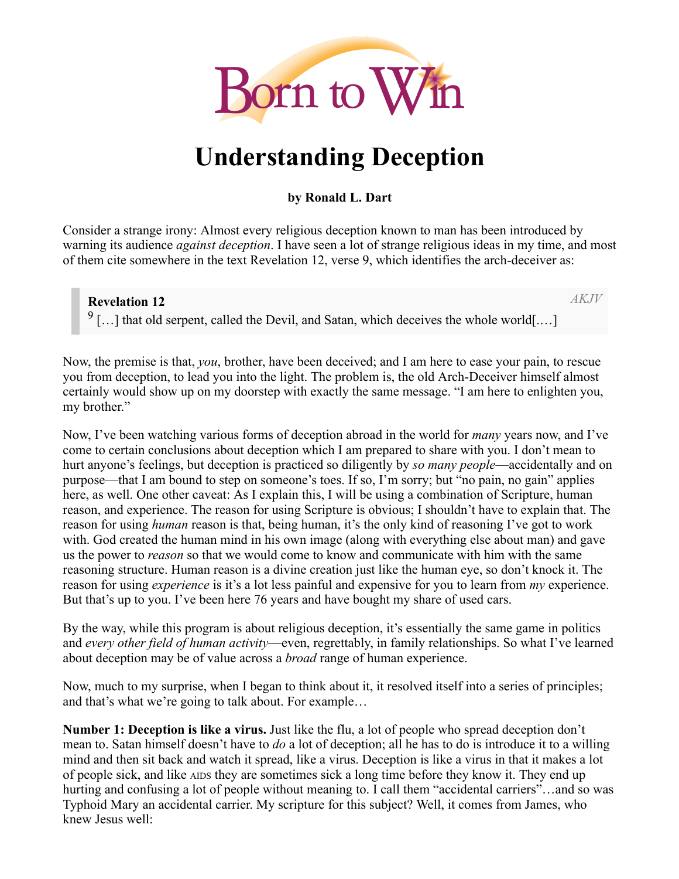

# **Understanding Deception**

### **by Ronald L. Dart**

Consider a strange irony: Almost every religious deception known to man has been introduced by warning its audience *against deception*. I have seen a lot of strange religious ideas in my time, and most of them cite somewhere in the text Revelation 12, verse 9, which identifies the arch-deceiver as:

### **Revelation 12**

*AKJV*

 $9$ [...] that old serpent, called the Devil, and Satan, which deceives the whole world[....]

Now, the premise is that, *you*, brother, have been deceived; and I am here to ease your pain, to rescue you from deception, to lead you into the light. The problem is, the old Arch-Deceiver himself almost certainly would show up on my doorstep with exactly the same message. "I am here to enlighten you, my brother."

Now, I've been watching various forms of deception abroad in the world for *many* years now, and I've come to certain conclusions about deception which I am prepared to share with you. I don't mean to hurt anyone's feelings, but deception is practiced so diligently by *so many people*—accidentally and on purpose—that I am bound to step on someone's toes. If so, I'm sorry; but "no pain, no gain" applies here, as well. One other caveat: As I explain this, I will be using a combination of Scripture, human reason, and experience. The reason for using Scripture is obvious; I shouldn't have to explain that. The reason for using *human* reason is that, being human, it's the only kind of reasoning I've got to work with. God created the human mind in his own image (along with everything else about man) and gave us the power to *reason* so that we would come to know and communicate with him with the same reasoning structure. Human reason is a divine creation just like the human eye, so don't knock it. The reason for using *experience* is it's a lot less painful and expensive for you to learn from *my* experience. But that's up to you. I've been here 76 years and have bought my share of used cars.

By the way, while this program is about religious deception, it's essentially the same game in politics and *every other field of human activity*—even, regrettably, in family relationships. So what I've learned about deception may be of value across a *broad* range of human experience.

Now, much to my surprise, when I began to think about it, it resolved itself into a series of principles; and that's what we're going to talk about. For example…

**Number 1: Deception is like a virus.** Just like the flu, a lot of people who spread deception don't mean to. Satan himself doesn't have to *do* a lot of deception; all he has to do is introduce it to a willing mind and then sit back and watch it spread, like a virus. Deception is like a virus in that it makes a lot of people sick, and like AIDS they are sometimes sick a long time before they know it. They end up hurting and confusing a lot of people without meaning to. I call them "accidental carriers"...and so was Typhoid Mary an accidental carrier. My scripture for this subject? Well, it comes from James, who knew Jesus well: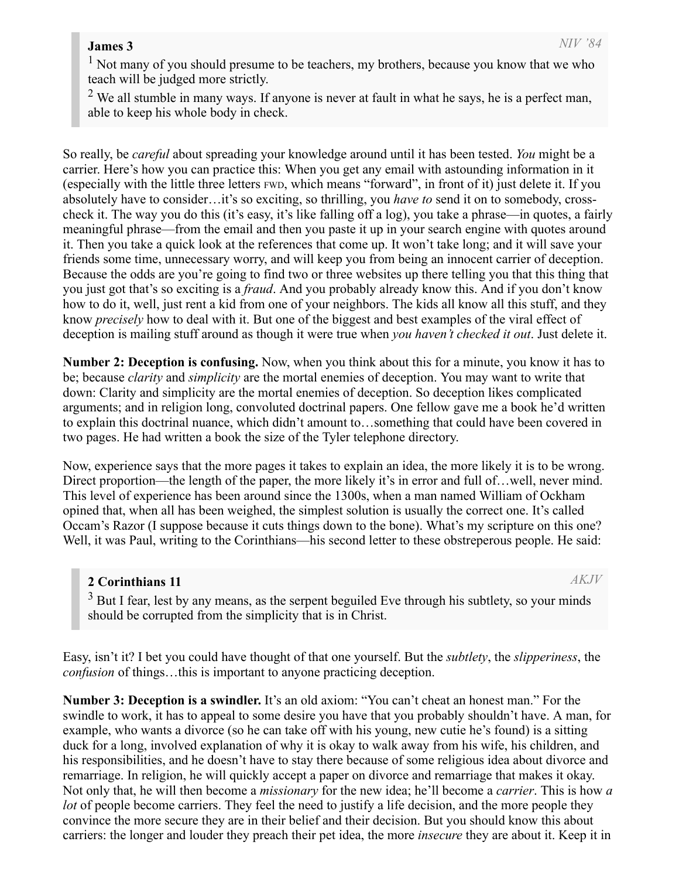#### **James 3**

<sup>1</sup> Not many of you should presume to be teachers, my brothers, because you know that we who teach will be judged more strictly.

 $2$  We all stumble in many ways. If anyone is never at fault in what he says, he is a perfect man, able to keep his whole body in check.

So really, be *careful* about spreading your knowledge around until it has been tested. *You* might be a carrier. Here's how you can practice this: When you get any email with astounding information in it (especially with the little three letters FWD, which means "forward", in front of it) just delete it. If you absolutely have to consider…it's so exciting, so thrilling, you *have to* send it on to somebody, crosscheck it. The way you do this (it's easy, it's like falling off a log), you take a phrase—in quotes, a fairly meaningful phrase—from the email and then you paste it up in your search engine with quotes around it. Then you take a quick look at the references that come up. It won't take long; and it will save your friends some time, unnecessary worry, and will keep you from being an innocent carrier of deception. Because the odds are you're going to find two or three websites up there telling you that this thing that you just got that's so exciting is a *fraud*. And you probably already know this. And if you don't know how to do it, well, just rent a kid from one of your neighbors. The kids all know all this stuff, and they know *precisely* how to deal with it. But one of the biggest and best examples of the viral effect of deception is mailing stuff around as though it were true when *you haven't checked it out*. Just delete it.

**Number 2: Deception is confusing.** Now, when you think about this for a minute, you know it has to be; because *clarity* and *simplicity* are the mortal enemies of deception. You may want to write that down: Clarity and simplicity are the mortal enemies of deception. So deception likes complicated arguments; and in religion long, convoluted doctrinal papers. One fellow gave me a book he'd written to explain this doctrinal nuance, which didn't amount to…something that could have been covered in two pages. He had written a book the size of the Tyler telephone directory.

Now, experience says that the more pages it takes to explain an idea, the more likely it is to be wrong. Direct proportion—the length of the paper, the more likely it's in error and full of... well, never mind. This level of experience has been around since the 1300s, when a man named William of Ockham opined that, when all has been weighed, the simplest solution is usually the correct one. It's called Occam's Razor (I suppose because it cuts things down to the bone). What's my scripture on this one? Well, it was Paul, writing to the Corinthians—his second letter to these obstreperous people. He said:

## **2 Corinthians 11**

*AKJV*

 $3$  But I fear, lest by any means, as the serpent beguiled Eve through his subtlety, so your minds should be corrupted from the simplicity that is in Christ.

Easy, isn't it? I bet you could have thought of that one yourself. But the *subtlety*, the *slipperiness*, the *confusion* of things…this is important to anyone practicing deception.

**Number 3: Deception is a swindler.** It's an old axiom: "You can't cheat an honest man." For the swindle to work, it has to appeal to some desire you have that you probably shouldn't have. A man, for example, who wants a divorce (so he can take off with his young, new cutie he's found) is a sitting duck for a long, involved explanation of why it is okay to walk away from his wife, his children, and his responsibilities, and he doesn't have to stay there because of some religious idea about divorce and remarriage. In religion, he will quickly accept a paper on divorce and remarriage that makes it okay. Not only that, he will then become a *missionary* for the new idea; he'll become a *carrier*. This is how *a lot* of people become carriers. They feel the need to justify a life decision, and the more people they convince the more secure they are in their belief and their decision. But you should know this about carriers: the longer and louder they preach their pet idea, the more *insecure* they are about it. Keep it in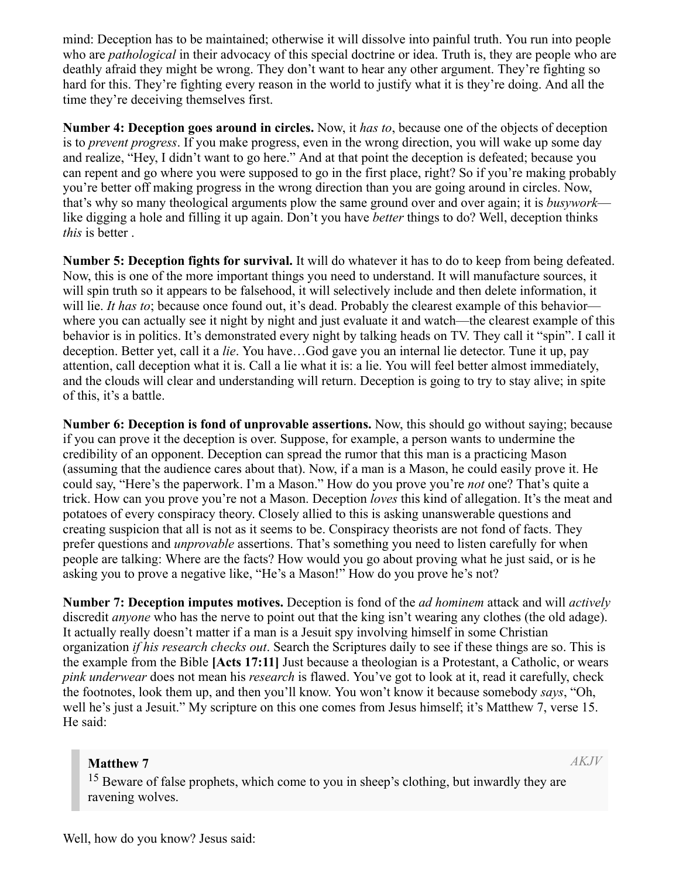mind: Deception has to be maintained; otherwise it will dissolve into painful truth. You run into people who are *pathological* in their advocacy of this special doctrine or idea. Truth is, they are people who are deathly afraid they might be wrong. They don't want to hear any other argument. They're fighting so hard for this. They're fighting every reason in the world to justify what it is they're doing. And all the time they're deceiving themselves first.

**Number 4: Deception goes around in circles.** Now, it *has to*, because one of the objects of deception is to *prevent progress*. If you make progress, even in the wrong direction, you will wake up some day and realize, "Hey, I didn't want to go here." And at that point the deception is defeated; because you can repent and go where you were supposed to go in the first place, right? So if you're making probably you're better off making progress in the wrong direction than you are going around in circles. Now, that's why so many theological arguments plow the same ground over and over again; it is *busywork* like digging a hole and filling it up again. Don't you have *better* things to do? Well, deception thinks *this* is better .

**Number 5: Deception fights for survival.** It will do whatever it has to do to keep from being defeated. Now, this is one of the more important things you need to understand. It will manufacture sources, it will spin truth so it appears to be falsehood, it will selectively include and then delete information, it will lie. *It has to*; because once found out, it's dead. Probably the clearest example of this behavior where you can actually see it night by night and just evaluate it and watch—the clearest example of this behavior is in politics. It's demonstrated every night by talking heads on TV. They call it "spin". I call it deception. Better yet, call it a *lie*. You have…God gave you an internal lie detector. Tune it up, pay attention, call deception what it is. Call a lie what it is: a lie. You will feel better almost immediately, and the clouds will clear and understanding will return. Deception is going to try to stay alive; in spite of this, it's a battle.

**Number 6: Deception is fond of unprovable assertions.** Now, this should go without saying; because if you can prove it the deception is over. Suppose, for example, a person wants to undermine the credibility of an opponent. Deception can spread the rumor that this man is a practicing Mason (assuming that the audience cares about that). Now, if a man is a Mason, he could easily prove it. He could say, "Here's the paperwork. I'm a Mason." How do you prove you're *not* one? That's quite a trick. How can you prove you're not a Mason. Deception *loves* this kind of allegation. It's the meat and potatoes of every conspiracy theory. Closely allied to this is asking unanswerable questions and creating suspicion that all is not as it seems to be. Conspiracy theorists are not fond of facts. They prefer questions and *unprovable* assertions. That's something you need to listen carefully for when people are talking: Where are the facts? How would you go about proving what he just said, or is he asking you to prove a negative like, "He's a Mason!" How do you prove he's not?

**Number 7: Deception imputes motives.** Deception is fond of the *ad hominem* attack and will *actively* discredit *anyone* who has the nerve to point out that the king isn't wearing any clothes (the old adage). It actually really doesn't matter if a man is a Jesuit spy involving himself in some Christian organization *if his research checks out*. Search the Scriptures daily to see if these things are so. This is the example from the Bible **[Acts 17:11]** Just because a theologian is a Protestant, a Catholic, or wears *pink underwear* does not mean his *research* is flawed. You've got to look at it, read it carefully, check the footnotes, look them up, and then you'll know. You won't know it because somebody *says*, "Oh, well he's just a Jesuit." My scripture on this one comes from Jesus himself; it's Matthew 7, verse 15. He said:

#### **Matthew 7**

*AKJV*

<sup>15</sup> Beware of false prophets, which come to you in sheep's clothing, but inwardly they are ravening wolves.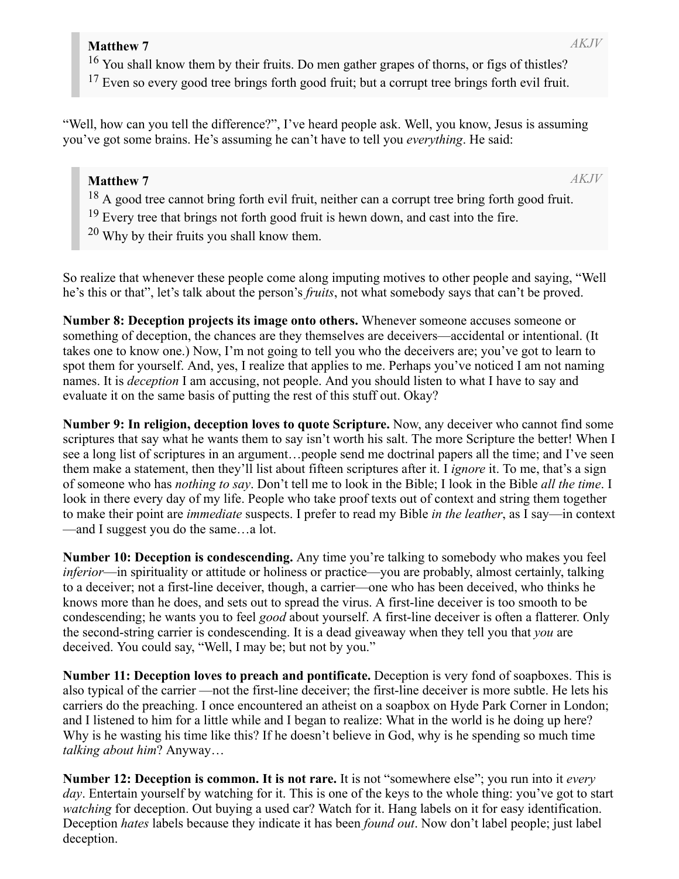<sup>16</sup> You shall know them by their fruits. Do men gather grapes of thorns, or figs of thistles?

<sup>17</sup> Even so every good tree brings forth good fruit; but a corrupt tree brings forth evil fruit.

"Well, how can you tell the difference?", I've heard people ask. Well, you know, Jesus is assuming you've got some brains. He's assuming he can't have to tell you *everything*. He said:

# **Matthew 7**

*AKJV*

- <sup>18</sup> A good tree cannot bring forth evil fruit, neither can a corrupt tree bring forth good fruit.
- <sup>19</sup> Every tree that brings not forth good fruit is hewn down, and cast into the fire.
- $20$  Why by their fruits you shall know them.

So realize that whenever these people come along imputing motives to other people and saying, "Well he's this or that", let's talk about the person's *fruits*, not what somebody says that can't be proved.

**Number 8: Deception projects its image onto others.** Whenever someone accuses someone or something of deception, the chances are they themselves are deceivers—accidental or intentional. (It takes one to know one.) Now, I'm not going to tell you who the deceivers are; you've got to learn to spot them for yourself. And, yes, I realize that applies to me. Perhaps you've noticed I am not naming names. It is *deception* I am accusing, not people. And you should listen to what I have to say and evaluate it on the same basis of putting the rest of this stuff out. Okay?

**Number 9: In religion, deception loves to quote Scripture.** Now, any deceiver who cannot find some scriptures that say what he wants them to say isn't worth his salt. The more Scripture the better! When I see a long list of scriptures in an argument…people send me doctrinal papers all the time; and I've seen them make a statement, then they'll list about fifteen scriptures after it. I *ignore* it. To me, that's a sign of someone who has *nothing to say*. Don't tell me to look in the Bible; I look in the Bible *all the time*. I look in there every day of my life. People who take proof texts out of context and string them together to make their point are *immediate* suspects. I prefer to read my Bible *in the leather*, as I say—in context —and I suggest you do the same…a lot.

**Number 10: Deception is condescending.** Any time you're talking to somebody who makes you feel *inferior*—in spirituality or attitude or holiness or practice—you are probably, almost certainly, talking to a deceiver; not a first-line deceiver, though, a carrier—one who has been deceived, who thinks he knows more than he does, and sets out to spread the virus. A first-line deceiver is too smooth to be condescending; he wants you to feel *good* about yourself. A first-line deceiver is often a flatterer. Only the second-string carrier is condescending. It is a dead giveaway when they tell you that *you* are deceived. You could say, "Well, I may be; but not by you."

**Number 11: Deception loves to preach and pontificate.** Deception is very fond of soapboxes. This is also typical of the carrier —not the first-line deceiver; the first-line deceiver is more subtle. He lets his carriers do the preaching. I once encountered an atheist on a soapbox on Hyde Park Corner in London; and I listened to him for a little while and I began to realize: What in the world is he doing up here? Why is he wasting his time like this? If he doesn't believe in God, why is he spending so much time *talking about him*? Anyway…

**Number 12: Deception is common. It is not rare.** It is not "somewhere else"; you run into it *every day*. Entertain yourself by watching for it. This is one of the keys to the whole thing: you've got to start *watching* for deception. Out buying a used car? Watch for it. Hang labels on it for easy identification. Deception *hates* labels because they indicate it has been *found out*. Now don't label people; just label deception.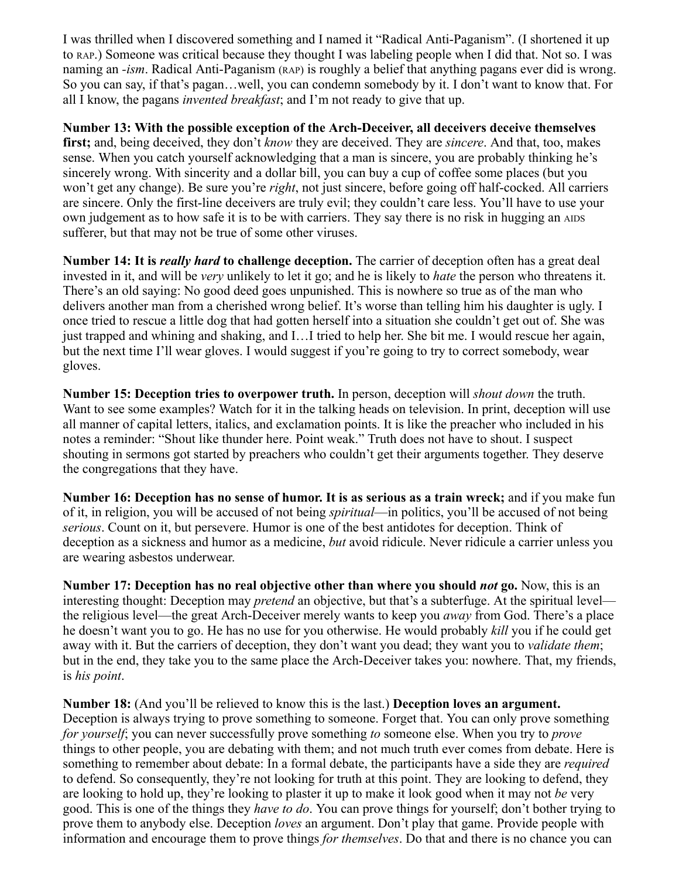I was thrilled when I discovered something and I named it "Radical Anti-Paganism". (I shortened it up to RAP.) Someone was critical because they thought I was labeling people when I did that. Not so. I was naming an *-ism*. Radical Anti-Paganism (RAP) is roughly a belief that anything pagans ever did is wrong. So you can say, if that's pagan…well, you can condemn somebody by it. I don't want to know that. For all I know, the pagans *invented breakfast*; and I'm not ready to give that up.

**Number 13: With the possible exception of the Arch-Deceiver, all deceivers deceive themselves first;** and, being deceived, they don't *know* they are deceived. They are *sincere*. And that, too, makes sense. When you catch yourself acknowledging that a man is sincere, you are probably thinking he's sincerely wrong. With sincerity and a dollar bill, you can buy a cup of coffee some places (but you won't get any change). Be sure you're *right*, not just sincere, before going off half-cocked. All carriers are sincere. Only the first-line deceivers are truly evil; they couldn't care less. You'll have to use your own judgement as to how safe it is to be with carriers. They say there is no risk in hugging an AIDS sufferer, but that may not be true of some other viruses.

**Number 14: It is** *really hard* **to challenge deception.** The carrier of deception often has a great deal invested in it, and will be *very* unlikely to let it go; and he is likely to *hate* the person who threatens it. There's an old saying: No good deed goes unpunished. This is nowhere so true as of the man who delivers another man from a cherished wrong belief. It's worse than telling him his daughter is ugly. I once tried to rescue a little dog that had gotten herself into a situation she couldn't get out of. She was just trapped and whining and shaking, and I…I tried to help her. She bit me. I would rescue her again, but the next time I'll wear gloves. I would suggest if you're going to try to correct somebody, wear gloves.

**Number 15: Deception tries to overpower truth.** In person, deception will *shout down* the truth. Want to see some examples? Watch for it in the talking heads on television. In print, deception will use all manner of capital letters, italics, and exclamation points. It is like the preacher who included in his notes a reminder: "Shout like thunder here. Point weak." Truth does not have to shout. I suspect shouting in sermons got started by preachers who couldn't get their arguments together. They deserve the congregations that they have.

**Number 16: Deception has no sense of humor. It is as serious as a train wreck;** and if you make fun of it, in religion, you will be accused of not being *spiritual*—in politics, you'll be accused of not being *serious*. Count on it, but persevere. Humor is one of the best antidotes for deception. Think of deception as a sickness and humor as a medicine, *but* avoid ridicule. Never ridicule a carrier unless you are wearing asbestos underwear.

**Number 17: Deception has no real objective other than where you should** *not* **go.** Now, this is an interesting thought: Deception may *pretend* an objective, but that's a subterfuge. At the spiritual level the religious level—the great Arch-Deceiver merely wants to keep you *away* from God. There's a place he doesn't want you to go. He has no use for you otherwise. He would probably *kill* you if he could get away with it. But the carriers of deception, they don't want you dead; they want you to *validate them*; but in the end, they take you to the same place the Arch-Deceiver takes you: nowhere. That, my friends, is *his point*.

**Number 18:** (And you'll be relieved to know this is the last.) **Deception loves an argument.** Deception is always trying to prove something to someone. Forget that. You can only prove something *for yourself*; you can never successfully prove something *to* someone else. When you try to *prove* things to other people, you are debating with them; and not much truth ever comes from debate. Here is something to remember about debate: In a formal debate, the participants have a side they are *required* to defend. So consequently, they're not looking for truth at this point. They are looking to defend, they are looking to hold up, they're looking to plaster it up to make it look good when it may not *be* very good. This is one of the things they *have to do*. You can prove things for yourself; don't bother trying to prove them to anybody else. Deception *loves* an argument. Don't play that game. Provide people with information and encourage them to prove things *for themselves*. Do that and there is no chance you can